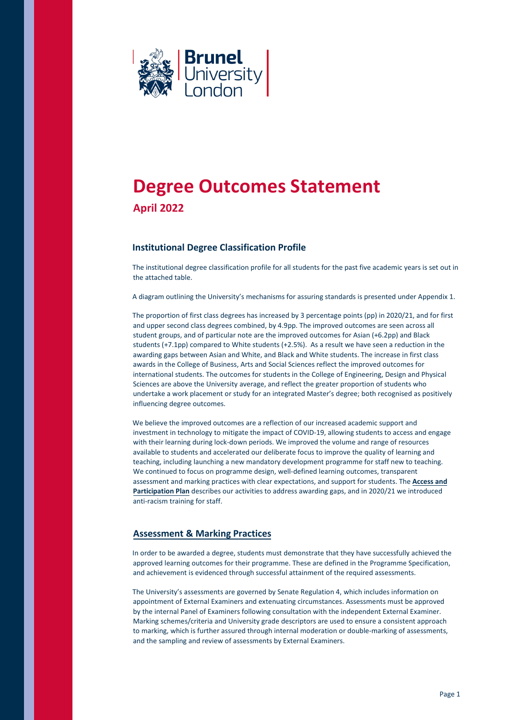

# **Degree Outcomes Statement April 2022**

## **Institutional Degree Classification Profile**

The institutional degree classification profile for all students for the past five academic years is set out in the attached table.

A diagram outlining the University's mechanisms for assuring standards is presented under Appendix 1.

The proportion of first class degrees has increased by 3 percentage points (pp) in 2020/21, and for first and upper second class degrees combined, by 4.9pp. The improved outcomes are seen across all student groups, and of particular note are the improved outcomes for Asian (+6.2pp) and Black students (+7.1pp) compared to White students (+2.5%). As a result we have seen a reduction in the awarding gaps between Asian and White, and Black and White students. The increase in first class awards in the College of Business, Arts and Social Sciences reflect the improved outcomes for international students. The outcomes for students in the College of Engineering, Design and Physical Sciences are above the University average, and reflect the greater proportion of students who undertake a work placement or study for an integrated Master's degree; both recognised as positively influencing degree outcomes.

We believe the improved outcomes are a reflection of our increased academic support and investment in technology to mitigate the impact of COVID-19, allowing students to access and engage with their learning during lock-down periods. We improved the volume and range of resources available to students and accelerated our deliberate focus to improve the quality of learning and teaching, including launching a new mandatory development programme for staff new to teaching. We continued to focus on programme design, well-defined learning outcomes, transparent assessment and marking practices with clear expectations, and support for students. The **[Access and](https://www.brunel.ac.uk/about/administration/access-and-participation/documents/pdf/BrunelUniversityLondon-APP-2020-21-V1-10000961.pdf) [Participation Plan](https://www.brunel.ac.uk/about/administration/access-and-participation/documents/pdf/BrunelUniversityLondon-APP-2020-21-V1-10000961.pdf)** describes our activities to address awarding ga[ps,](https://www.brunel.ac.uk/about/administration/access-and-participation/documents/pdf/BrunelUniversityLondon-APP-2020-21-V1-10000961.pdf) and in 2020/21 we introduced anti-racism training for staff.

## **[Assessment & Marking Practices](https://www.brunel.ac.uk/about/quality-assurance/documents/pdf/How-do-we-assure-standards.pdf)**

In order to be awarded a degree, students must demonstrate that they have successfully achieved the approved learning outcomes for their programme. These are defined in the Programme Specification, and achievement is evidenced through successful attainment of the required assessments.

The University's assessments are governed by Senate Regulation 4, which includes information on appointment of External Examiners and extenuating circumstances. Assessments must be approved by the internal Panel of Examiners following consultation with the independent External Examiner. Marking schemes/criteria and University grade descriptors are used to ensure a consistent approach to marking, which is further assured through internal moderation or double-marking of assessments, and the sampling and review of assessments by External Examiners.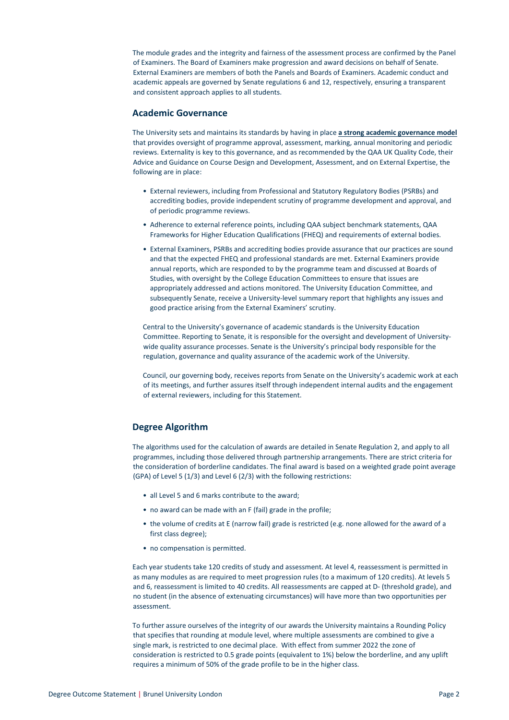The module grades and the integrity and fairness of the assessment process are confirmed by the Panel of Examiners. The Board of Examiners make progression and award decisions on behalf of Senate. External Examiners are members of both the Panels and Boards of Examiners. Academic conduct and academic appeals are governed by Senate regulations 6 and 12, respectively, ensuring a transparent and consistent approach applies to all students.

#### **Academic Governance**

The University sets and maintains its standards by having in place **[a strong academic governance model](https://www.brunel.ac.uk/about/quality-assurance/documents/pdf/How-do-we-assure-standards.pdf)** that provides oversight of programme approval, assessment, marking, annual monitoring and periodic reviews. Externality is key to this governance, and as recommended by the QAA UK Quality Code, their Advice and Guidance on Course Design and Development, Assessment, and on External Expertise, the following are in place:

- External reviewers, including from Professional and Statutory Regulatory Bodies (PSRBs) and accrediting bodies, provide independent scrutiny of programme development and approval, and of periodic programme reviews.
- Adherence to external reference points, including QAA subject benchmark statements, QAA Frameworks for Higher Education Qualifications (FHEQ) and requirements of external bodies.
- External Examiners, PSRBs and accrediting bodies provide assurance that our practices are sound and that the expected FHEQ and professional standards are met. External Examiners provide annual reports, which are responded to by the programme team and discussed at Boards of Studies, with oversight by the College Education Committees to ensure that issues are appropriately addressed and actions monitored. The University Education Committee, and subsequently Senate, receive a University-level summary report that highlights any issues and good practice arising from the External Examiners' scrutiny.

Central to the University's governance of academic standards is the University Education Committee. Reporting to Senate, it is responsible for the oversight and development of Universitywide quality assurance processes. Senate is the University's principal body responsible for the regulation, governance and quality assurance of the academic work of the University.

Council, our governing body, receives reports from Senate on the University's academic work at each of its meetings, and further assures itself through independent internal audits and the engagement of external reviewers, including for this Statement.

### **Degree Algorithm**

The algorithms used for the calculation of awards are detailed in Senate Regulation 2, and apply to all programmes, including those delivered through partnership arrangements. There are strict criteria for the consideration of borderline candidates. The final award is based on a weighted grade point average (GPA) of Level 5 (1/3) and Level 6 (2/3) with the following restrictions:

- all Level 5 and 6 marks contribute to the award;
- no award can be made with an F (fail) grade in the profile;
- the volume of credits at E (narrow fail) grade is restricted (e.g. none allowed for the award of a first class degree);
- no compensation is permitted.

Each year students take 120 credits of study and assessment. At level 4, reassessment is permitted in as many modules as are required to meet progression rules (to a maximum of 120 credits). At levels 5 and 6, reassessment is limited to 40 credits. All reassessments are capped at D- (threshold grade), and no student (in the absence of extenuating circumstances) will have more than two opportunities per assessment.

To further assure ourselves of the integrity of our awards the University maintains a Rounding Policy that specifies that rounding at module level, where multiple assessments are combined to give a single mark, is restricted to one decimal place. With effect from summer 2022 the zone of consideration is restricted to 0.5 grade points (equivalent to 1%) below the borderline, and any uplift requires a minimum of 50% of the grade profile to be in the higher class.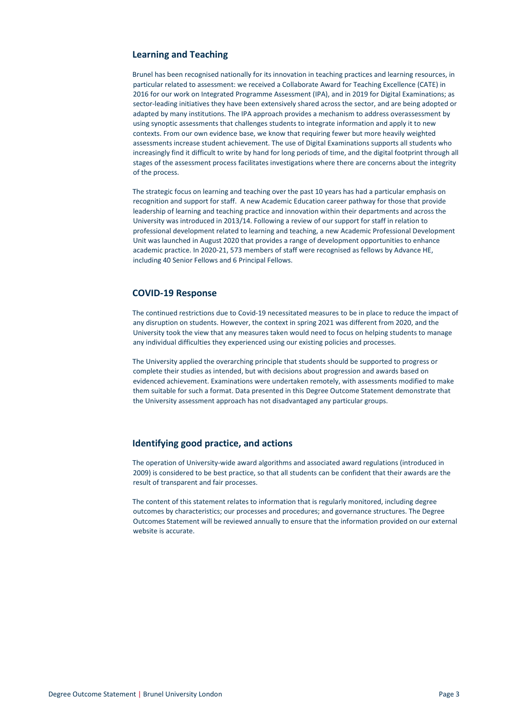### **Learning and Teaching**

Brunel has been recognised nationally for its innovation in teaching practices and learning resources, in particular related to assessment: we received a Collaborate Award for Teaching Excellence (CATE) in 2016 for our work on Integrated Programme Assessment (IPA), and in 2019 for Digital Examinations; as sector-leading initiatives they have been extensively shared across the sector, and are being adopted or adapted by many institutions. The IPA approach provides a mechanism to address overassessment by using synoptic assessments that challenges students to integrate information and apply it to new contexts. From our own evidence base, we know that requiring fewer but more heavily weighted assessments increase student achievement. The use of Digital Examinations supports all students who increasingly find it difficult to write by hand for long periods of time, and the digital footprint through all stages of the assessment process facilitates investigations where there are concerns about the integrity of the process.

The strategic focus on learning and teaching over the past 10 years has had a particular emphasis on recognition and support for staff. A new Academic Education career pathway for those that provide leadership of learning and teaching practice and innovation within their departments and across the University was introduced in 2013/14. Following a review of our support for staff in relation to professional development related to learning and teaching, a new Academic Professional Development Unit was launched in August 2020 that provides a range of development opportunities to enhance academic practice. In 2020-21, 573 members of staff were recognised as fellows by Advance HE, including 40 Senior Fellows and 6 Principal Fellows.

#### **COVID-19 Response**

The continued restrictions due to Covid-19 necessitated measures to be in place to reduce the impact of any disruption on students. However, the context in spring 2021 was different from 2020, and the University took the view that any measures taken would need to focus on helping students to manage any individual difficulties they experienced using our existing policies and processes.

The University applied the overarching principle that students should be supported to progress or complete their studies as intended, but with decisions about progression and awards based on evidenced achievement. Examinations were undertaken remotely, with assessments modified to make them suitable for such a format. Data presented in this Degree Outcome Statement demonstrate that the University assessment approach has not disadvantaged any particular groups.

### **Identifying good practice, and actions**

The operation of University-wide award algorithms and associated award regulations (introduced in 2009) is considered to be best practice, so that all students can be confident that their awards are the result of transparent and fair processes.

The content of this statement relates to information that is regularly monitored, including degree outcomes by characteristics; our processes and procedures; and governance structures. The Degree Outcomes Statement will be reviewed annually to ensure that the information provided on our external website is accurate.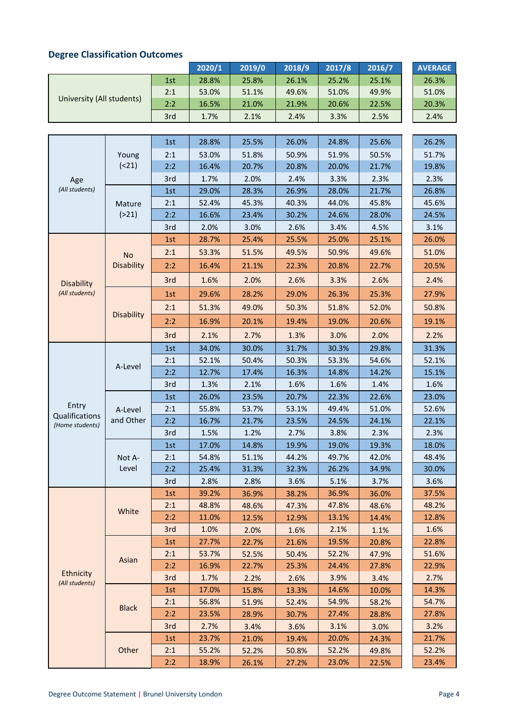| Degree Classification Outcomes |                           |     |        |        |        |        |        |  |                |
|--------------------------------|---------------------------|-----|--------|--------|--------|--------|--------|--|----------------|
|                                |                           |     | 2020/1 | 2019/0 | 2018/9 | 2017/8 | 2016/7 |  | <b>AVERAGE</b> |
|                                | University (All students) | 1st | 28.8%  | 25.8%  | 26.1%  | 25.2%  | 25.1%  |  | 26.3%          |
|                                |                           | 2:1 | 53.0%  | 51.1%  | 49.6%  | 51.0%  | 49.9%  |  | 51.0%          |
|                                |                           | 2:2 | 16.5%  | 21.0%  | 21.9%  | 20.6%  | 22.5%  |  | 20.3%          |
|                                |                           | 3rd | 1.7%   | 2.1%   | 2.4%   | 3.3%   | 2.5%   |  | 2.4%           |
|                                |                           |     |        |        |        |        |        |  |                |
|                                |                           | 1st | 28.8%  | 25.5%  | 26.0%  | 24.8%  | 25.6%  |  | 26.2%          |
|                                | Young                     | 2:1 | 53.0%  | 51.8%  | 50.9%  | 51.9%  | 50.5%  |  | 51.7%          |
|                                |                           |     |        |        |        |        |        |  |                |

## **Degree Classification Outcomes**

|                                   | Young<br>(21)                  |     |       |       |       |       |       |       |
|-----------------------------------|--------------------------------|-----|-------|-------|-------|-------|-------|-------|
|                                   |                                | 2:1 | 53.0% | 51.8% | 50.9% | 51.9% | 50.5% | 51.7% |
|                                   |                                | 2:2 | 16.4% | 20.7% | 20.8% | 20.0% | 21.7% | 19.8% |
| Age                               |                                | 3rd | 1.7%  | 2.0%  | 2.4%  | 3.3%  | 2.3%  | 2.3%  |
| (All students)                    |                                | 1st | 29.0% | 28.3% | 26.9% | 28.0% | 21.7% | 26.8% |
|                                   | Mature                         | 2:1 | 52.4% | 45.3% | 40.3% | 44.0% | 45.8% | 45.6% |
|                                   | ( > 21)                        | 2:2 | 16.6% | 23.4% | 30.2% | 24.6% | 28.0% | 24.5% |
|                                   |                                | 3rd | 2.0%  | 3.0%  | 2.6%  | 3.4%  | 4.5%  | 3.1%  |
|                                   | <b>No</b><br><b>Disability</b> | 1st | 28.7% | 25.4% | 25.5% | 25.0% | 25.1% | 26.0% |
|                                   |                                | 2:1 | 53.3% | 51.5% | 49.5% | 50.9% | 49.6% | 51.0% |
|                                   |                                | 2:2 | 16.4% | 21.1% | 22.3% | 20.8% | 22.7% | 20.5% |
| <b>Disability</b>                 |                                | 3rd | 1.6%  | 2.0%  | 2.6%  | 3.3%  | 2.6%  | 2.4%  |
| (All students)                    | <b>Disability</b>              | 1st | 29.6% | 28.2% | 29.0% | 26.3% | 25.3% | 27.9% |
|                                   |                                | 2:1 | 51.3% | 49.0% | 50.3% | 51.8% | 52.0% | 50.8% |
|                                   |                                | 2:2 | 16.9% | 20.1% | 19.4% | 19.0% | 20.6% | 19.1% |
|                                   |                                | 3rd | 2.1%  | 2.7%  | 1.3%  | 3.0%  | 2.0%  | 2.2%  |
|                                   |                                | 1st | 34.0% | 30.0% | 31.7% | 30.3% | 29.8% | 31.3% |
|                                   | A-Level                        | 2:1 | 52.1% | 50.4% | 50.3% | 53.3% | 54.6% | 52.1% |
|                                   |                                | 2:2 | 12.7% | 17.4% | 16.3% | 14.8% | 14.2% | 15.1% |
|                                   |                                | 3rd | 1.3%  | 2.1%  | 1.6%  | 1.6%  | 1.4%  | 1.6%  |
|                                   |                                | 1st | 26.0% | 23.5% | 20.7% | 22.3% | 22.6% | 23.0% |
| Entry                             | A-Level                        | 2:1 | 55.8% | 53.7% | 53.1% | 49.4% | 51.0% | 52.6% |
| Qualifications<br>(Home students) | and Other                      | 2:2 | 16.7% | 21.7% | 23.5% | 24.5% | 24.1% | 22.1% |
|                                   |                                | 3rd | 1.5%  | 1.2%  | 2.7%  | 3.8%  | 2.3%  | 2.3%  |
|                                   |                                | 1st | 17.0% | 14.8% | 19.9% | 19.0% | 19.3% | 18.0% |
|                                   | Not A-<br>Level                | 2:1 | 54.8% | 51.1% | 44.2% | 49.7% | 42.0% | 48.4% |
|                                   |                                | 2:2 | 25.4% | 31.3% | 32.3% | 26.2% | 34.9% | 30.0% |
|                                   |                                | 3rd | 2.8%  | 2.8%  | 3.6%  | 5.1%  | 3.7%  | 3.6%  |
|                                   | White                          | 1st | 39.2% | 36.9% | 38.2% | 36.9% | 36.0% | 37.5% |
|                                   |                                | 2:1 | 48.8% | 48.6% | 47.3% | 47.8% | 48.6% | 48.2% |
|                                   |                                | 2:2 | 11.0% | 12.5% | 12.9% | 13.1% | 14.4% | 12.8% |
|                                   |                                | 3rd | 1.0%  | 2.0%  | 1.6%  | 2.1%  | 1.1%  | 1.6%  |
|                                   | Asian                          | 1st | 27.7% | 22.7% | 21.6% | 19.5% | 20.8% | 22.8% |
|                                   |                                | 2:1 | 53.7% | 52.5% | 50.4% | 52.2% | 47.9% | 51.6% |
|                                   |                                | 2:2 | 16.9% | 22.7% | 25.3% | 24.4% | 27.8% | 22.9% |
| Ethnicity<br>(All students)       |                                | 3rd | 1.7%  | 2.2%  | 2.6%  | 3.9%  | 3.4%  | 2.7%  |
|                                   |                                | 1st | 17.0% | 15.8% | 13.3% | 14.6% | 10.0% | 14.3% |
|                                   | <b>Black</b>                   | 2:1 | 56.8% | 51.9% | 52.4% | 54.9% | 58.2% | 54.7% |
|                                   |                                | 2:2 | 23.5% | 28.9% | 30.7% | 27.4% | 28.8% | 27.8% |
|                                   |                                | 3rd | 2.7%  | 3.4%  | 3.6%  | 3.1%  | 3.0%  | 3.2%  |
|                                   |                                | 1st | 23.7% | 21.0% | 19.4% | 20.0% | 24.3% | 21.7% |
|                                   | Other                          | 2:1 | 55.2% | 52.2% | 50.8% | 52.2% | 49.8% | 52.2% |
|                                   |                                | 2:2 | 18.9% | 26.1% | 27.2% | 23.0% | 22.5% | 23.4% |

T.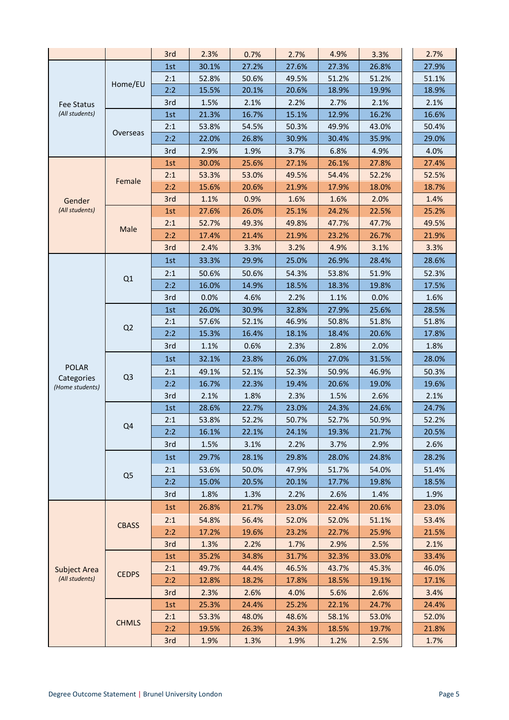|                               |                | 3rd | 2.3%  | 0.7%  | 2.7%  | 4.9%  | 3.3%  | 2.7%  |
|-------------------------------|----------------|-----|-------|-------|-------|-------|-------|-------|
|                               |                | 1st | 30.1% | 27.2% | 27.6% | 27.3% | 26.8% | 27.9% |
|                               |                | 2:1 | 52.8% | 50.6% | 49.5% | 51.2% | 51.2% | 51.1% |
|                               | Home/EU        | 2:2 | 15.5% | 20.1% | 20.6% | 18.9% | 19.9% | 18.9% |
| <b>Fee Status</b>             |                | 3rd | 1.5%  | 2.1%  | 2.2%  | 2.7%  | 2.1%  | 2.1%  |
| (All students)                |                | 1st | 21.3% | 16.7% | 15.1% | 12.9% | 16.2% | 16.6% |
|                               |                | 2:1 | 53.8% | 54.5% | 50.3% | 49.9% | 43.0% | 50.4% |
|                               | Overseas       | 2:2 | 22.0% | 26.8% | 30.9% | 30.4% | 35.9% | 29.0% |
|                               |                | 3rd | 2.9%  | 1.9%  | 3.7%  | 6.8%  | 4.9%  | 4.0%  |
|                               | Female         | 1st | 30.0% | 25.6% | 27.1% | 26.1% | 27.8% | 27.4% |
|                               |                | 2:1 | 53.3% | 53.0% | 49.5% | 54.4% | 52.2% | 52.5% |
|                               |                | 2:2 | 15.6% | 20.6% | 21.9% | 17.9% | 18.0% | 18.7% |
| Gender                        |                | 3rd | 1.1%  | 0.9%  | 1.6%  | 1.6%  | 2.0%  | 1.4%  |
| (All students)                |                | 1st | 27.6% | 26.0% | 25.1% | 24.2% | 22.5% | 25.2% |
|                               | Male           | 2:1 | 52.7% | 49.3% | 49.8% | 47.7% | 47.7% | 49.5% |
|                               |                | 2:2 | 17.4% | 21.4% | 21.9% | 23.2% | 26.7% | 21.9% |
|                               |                | 3rd | 2.4%  | 3.3%  | 3.2%  | 4.9%  | 3.1%  | 3.3%  |
|                               |                | 1st | 33.3% | 29.9% | 25.0% | 26.9% | 28.4% | 28.6% |
|                               |                | 2:1 | 50.6% | 50.6% | 54.3% | 53.8% | 51.9% | 52.3% |
|                               | Q1             | 2:2 | 16.0% | 14.9% | 18.5% | 18.3% | 19.8% | 17.5% |
|                               |                | 3rd | 0.0%  | 4.6%  | 2.2%  | 1.1%  | 0.0%  | 1.6%  |
|                               | Q2             | 1st | 26.0% | 30.9% | 32.8% | 27.9% | 25.6% | 28.5% |
|                               |                | 2:1 | 57.6% | 52.1% | 46.9% | 50.8% | 51.8% | 51.8% |
|                               |                | 2:2 | 15.3% | 16.4% | 18.1% | 18.4% | 20.6% | 17.8% |
|                               |                | 3rd | 1.1%  | 0.6%  | 2.3%  | 2.8%  | 2.0%  | 1.8%  |
|                               | Q <sub>3</sub> | 1st | 32.1% | 23.8% | 26.0% | 27.0% | 31.5% | 28.0% |
| <b>POLAR</b>                  |                | 2:1 | 49.1% | 52.1% | 52.3% | 50.9% | 46.9% | 50.3% |
| Categories<br>(Home students) |                | 2:2 | 16.7% | 22.3% | 19.4% | 20.6% | 19.0% | 19.6% |
|                               |                | 3rd | 2.1%  | 1.8%  | 2.3%  | 1.5%  | 2.6%  | 2.1%  |
|                               | Q4             | 1st | 28.6% | 22.7% | 23.0% | 24.3% | 24.6% | 24.7% |
|                               |                | 2:1 | 53.8% | 52.2% | 50.7% | 52.7% | 50.9% | 52.2% |
|                               |                | 2:2 | 16.1% | 22.1% | 24.1% | 19.3% | 21.7% | 20.5% |
|                               |                | 3rd | 1.5%  | 3.1%  | 2.2%  | 3.7%  | 2.9%  | 2.6%  |
|                               | Q <sub>5</sub> | 1st | 29.7% | 28.1% | 29.8% | 28.0% | 24.8% | 28.2% |
|                               |                | 2:1 | 53.6% | 50.0% | 47.9% | 51.7% | 54.0% | 51.4% |
|                               |                | 2:2 | 15.0% | 20.5% | 20.1% | 17.7% | 19.8% | 18.5% |
|                               |                | 3rd | 1.8%  | 1.3%  | 2.2%  | 2.6%  | 1.4%  | 1.9%  |
|                               | <b>CBASS</b>   | 1st | 26.8% | 21.7% | 23.0% | 22.4% | 20.6% | 23.0% |
|                               |                | 2:1 | 54.8% | 56.4% | 52.0% | 52.0% | 51.1% | 53.4% |
|                               |                | 2:2 | 17.2% | 19.6% | 23.2% | 22.7% | 25.9% | 21.5% |
|                               |                | 3rd | 1.3%  | 2.2%  | 1.7%  | 2.9%  | 2.5%  | 2.1%  |
|                               | <b>CEDPS</b>   | 1st | 35.2% | 34.8% | 31.7% | 32.3% | 33.0% | 33.4% |
| <b>Subject Area</b>           |                | 2:1 | 49.7% | 44.4% | 46.5% | 43.7% | 45.3% | 46.0% |
| (All students)                |                | 2:2 | 12.8% | 18.2% | 17.8% | 18.5% | 19.1% | 17.1% |
|                               |                | 3rd | 2.3%  | 2.6%  | 4.0%  | 5.6%  | 2.6%  | 3.4%  |
|                               | <b>CHMLS</b>   | 1st | 25.3% | 24.4% | 25.2% | 22.1% | 24.7% | 24.4% |
|                               |                | 2:1 | 53.3% | 48.0% | 48.6% | 58.1% | 53.0% | 52.0% |
|                               |                | 2:2 | 19.5% | 26.3% | 24.3% | 18.5% | 19.7% | 21.8% |
|                               |                | 3rd | 1.9%  | 1.3%  | 1.9%  | 1.2%  | 2.5%  | 1.7%  |